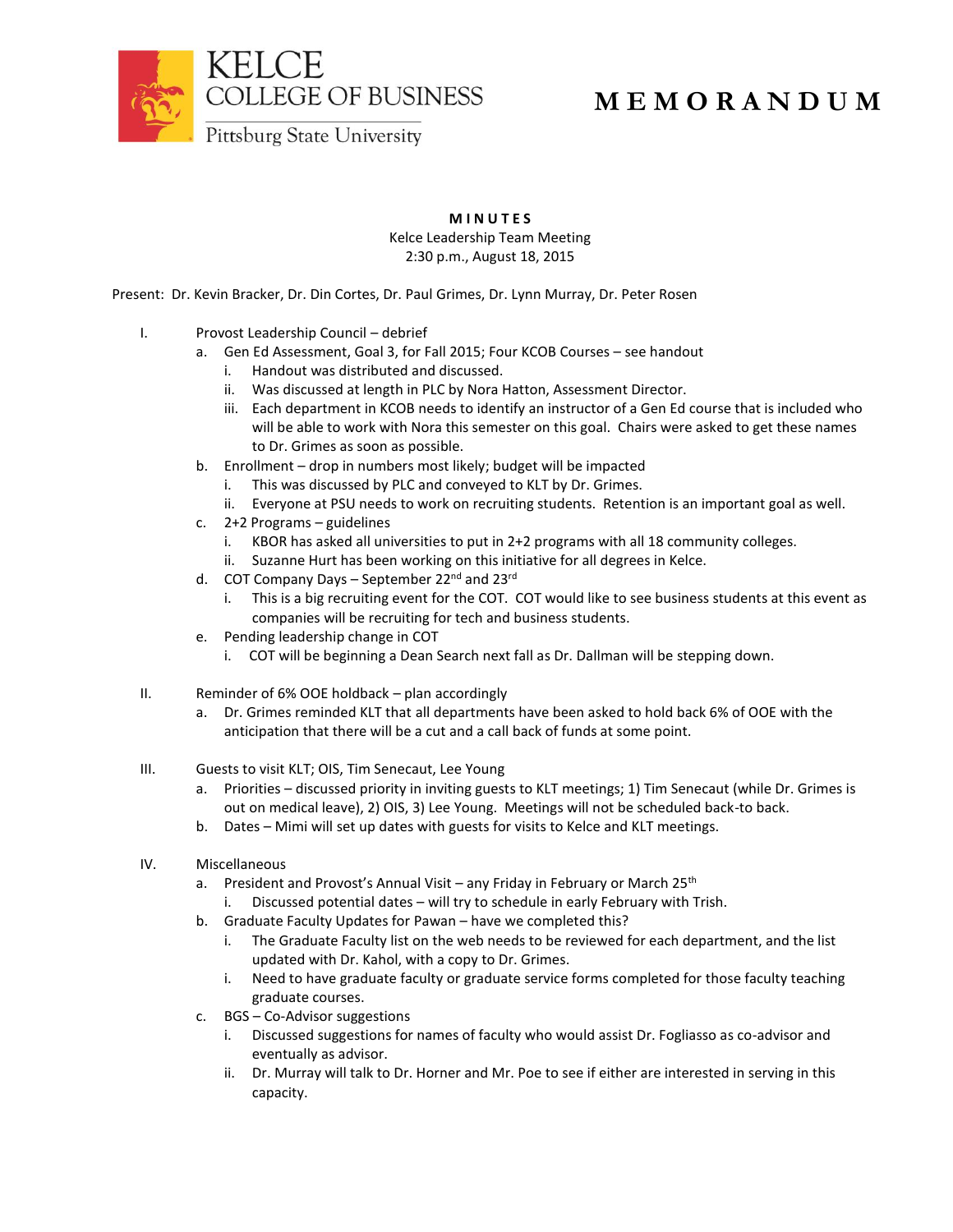

## **M E M O R A N D U M**

Pittsburg State University

## **M I N U T E S**

Kelce Leadership Team Meeting 2:30 p.m., August 18, 2015

Present: Dr. Kevin Bracker, Dr. Din Cortes, Dr. Paul Grimes, Dr. Lynn Murray, Dr. Peter Rosen

- I. Provost Leadership Council debrief
	- a. Gen Ed Assessment, Goal 3, for Fall 2015; Four KCOB Courses see handout
		- i. Handout was distributed and discussed.
		- ii. Was discussed at length in PLC by Nora Hatton, Assessment Director.
		- iii. Each department in KCOB needs to identify an instructor of a Gen Ed course that is included who will be able to work with Nora this semester on this goal. Chairs were asked to get these names to Dr. Grimes as soon as possible.
	- b. Enrollment drop in numbers most likely; budget will be impacted
		- i. This was discussed by PLC and conveyed to KLT by Dr. Grimes.
		- ii. Everyone at PSU needs to work on recruiting students. Retention is an important goal as well.
	- c. 2+2 Programs guidelines
		- i. KBOR has asked all universities to put in 2+2 programs with all 18 community colleges.
		- ii. Suzanne Hurt has been working on this initiative for all degrees in Kelce.
	- d. COT Company Days September 22<sup>nd</sup> and 23<sup>rd</sup>
		- i. This is a big recruiting event for the COT. COT would like to see business students at this event as companies will be recruiting for tech and business students.
	- e. Pending leadership change in COT
		- i. COT will be beginning a Dean Search next fall as Dr. Dallman will be stepping down.
- II. Reminder of 6% OOE holdback plan accordingly
	- a. Dr. Grimes reminded KLT that all departments have been asked to hold back 6% of OOE with the anticipation that there will be a cut and a call back of funds at some point.
- III. Guests to visit KLT; OIS, Tim Senecaut, Lee Young
	- a. Priorities discussed priority in inviting guests to KLT meetings; 1) Tim Senecaut (while Dr. Grimes is out on medical leave), 2) OIS, 3) Lee Young. Meetings will not be scheduled back-to back.
	- b. Dates Mimi will set up dates with guests for visits to Kelce and KLT meetings.
- IV. Miscellaneous
	- a. President and Provost's Annual Visit any Friday in February or March 25<sup>th</sup>
		- Discussed potential dates will try to schedule in early February with Trish.
	- b. Graduate Faculty Updates for Pawan have we completed this?
		- i. The Graduate Faculty list on the web needs to be reviewed for each department, and the list updated with Dr. Kahol, with a copy to Dr. Grimes.
		- i. Need to have graduate faculty or graduate service forms completed for those faculty teaching graduate courses.
	- c. BGS Co-Advisor suggestions
		- i. Discussed suggestions for names of faculty who would assist Dr. Fogliasso as co-advisor and eventually as advisor.
		- ii. Dr. Murray will talk to Dr. Horner and Mr. Poe to see if either are interested in serving in this capacity.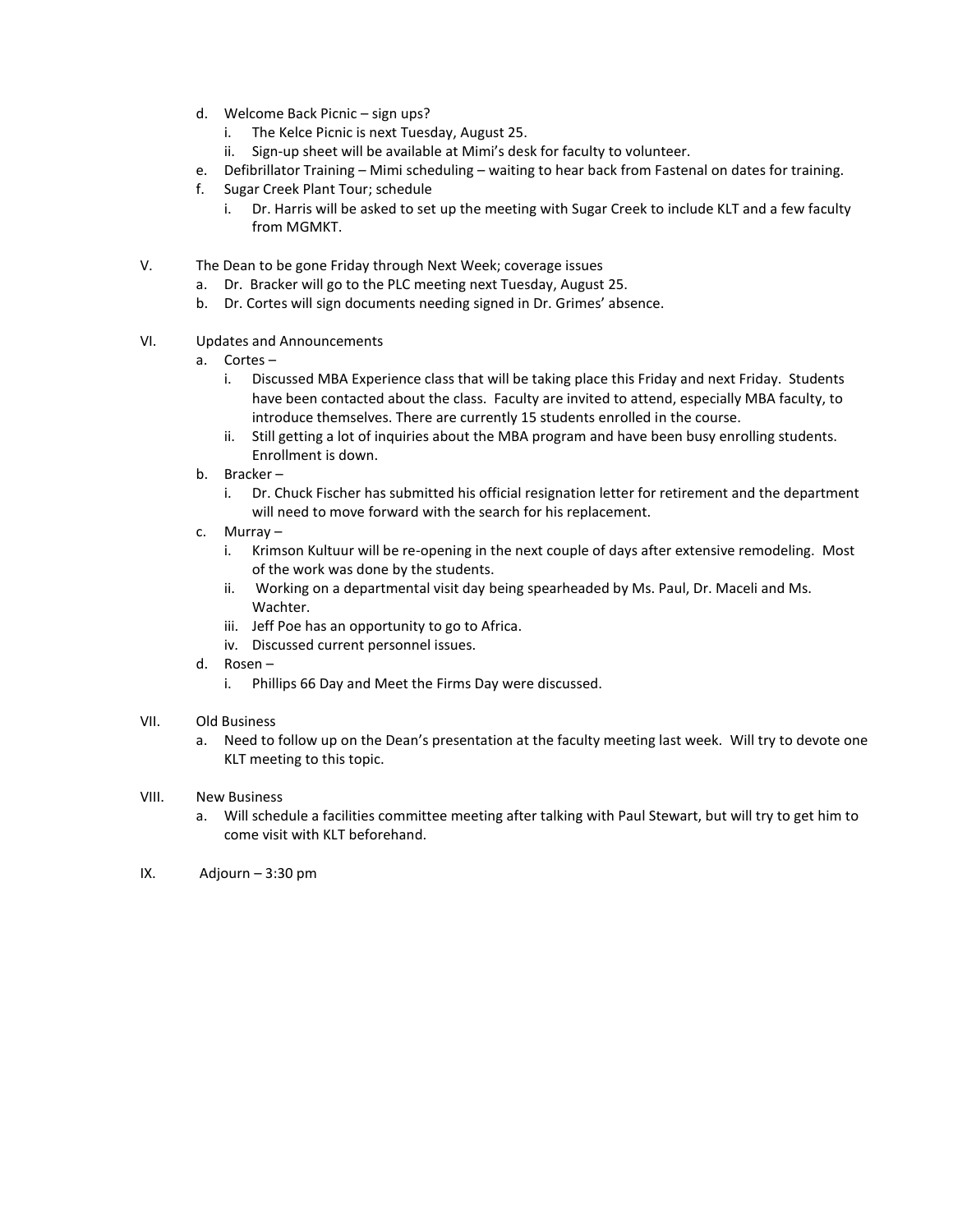- d. Welcome Back Picnic sign ups?
	- i. The Kelce Picnic is next Tuesday, August 25.
	- ii. Sign-up sheet will be available at Mimi's desk for faculty to volunteer.
- e. Defibrillator Training Mimi scheduling waiting to hear back from Fastenal on dates for training.
- f. Sugar Creek Plant Tour; schedule
	- i. Dr. Harris will be asked to set up the meeting with Sugar Creek to include KLT and a few faculty from MGMKT.
- V. The Dean to be gone Friday through Next Week; coverage issues
	- a. Dr. Bracker will go to the PLC meeting next Tuesday, August 25.
	- b. Dr. Cortes will sign documents needing signed in Dr. Grimes' absence.
- VI. Updates and Announcements
	- a. Cortes
		- i. Discussed MBA Experience class that will be taking place this Friday and next Friday. Students have been contacted about the class. Faculty are invited to attend, especially MBA faculty, to introduce themselves. There are currently 15 students enrolled in the course.
		- ii. Still getting a lot of inquiries about the MBA program and have been busy enrolling students. Enrollment is down.
	- b. Bracker
		- i. Dr. Chuck Fischer has submitted his official resignation letter for retirement and the department will need to move forward with the search for his replacement.
	- c. Murray
		- i. Krimson Kultuur will be re-opening in the next couple of days after extensive remodeling. Most of the work was done by the students.
		- ii. Working on a departmental visit day being spearheaded by Ms. Paul, Dr. Maceli and Ms. Wachter.
		- iii. Jeff Poe has an opportunity to go to Africa.
		- iv. Discussed current personnel issues.
	- d. Rosen
		- i. Phillips 66 Day and Meet the Firms Day were discussed.
- VII. Old Business
	- a. Need to follow up on the Dean's presentation at the faculty meeting last week. Will try to devote one KLT meeting to this topic.
- VIII. New Business
	- a. Will schedule a facilities committee meeting after talking with Paul Stewart, but will try to get him to come visit with KLT beforehand.
- IX. Adjourn 3:30 pm